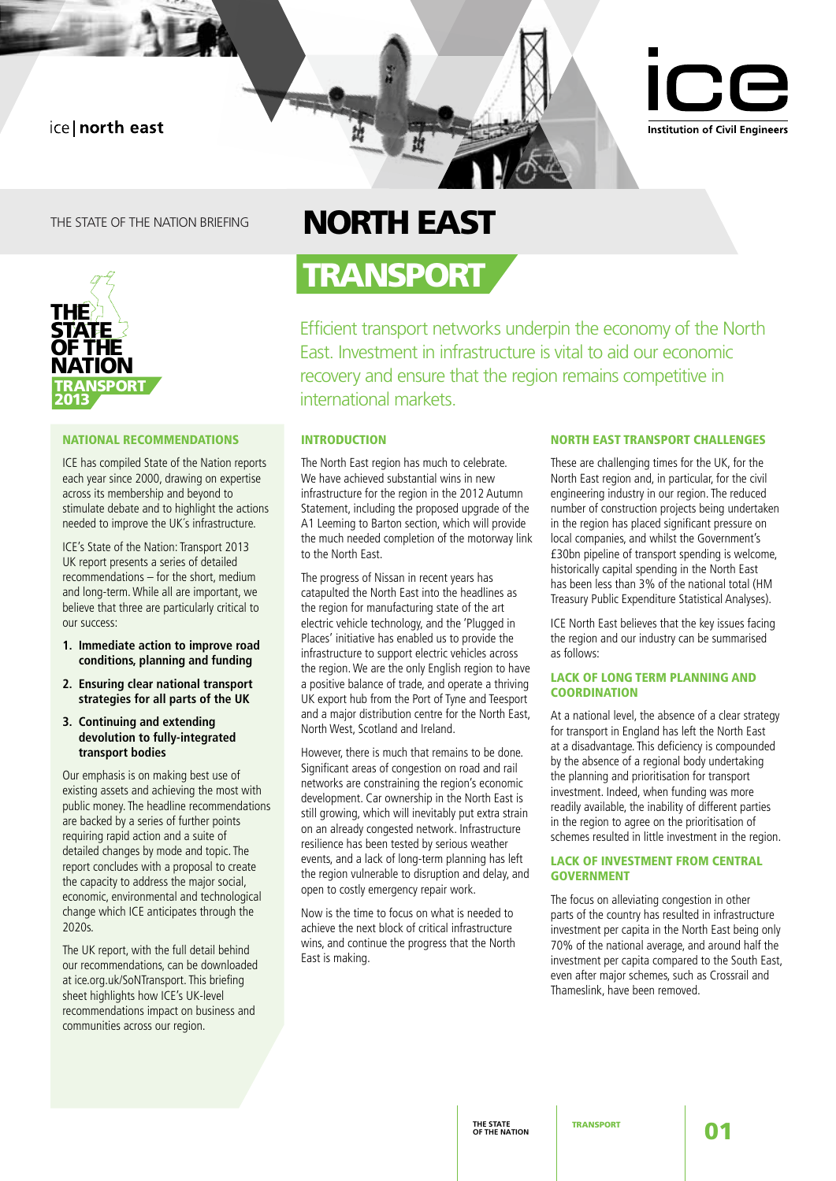# ice | north east



THE STATE OF THE NATION BRIEFING



# National Recommendations

ICE has compiled State of the Nation reports each year since 2000, drawing on expertise across its membership and beyond to stimulate debate and to highlight the actions needed to improve the UK´s infrastructure.

ICE's State of the Nation: Transport 2013 UK report presents a series of detailed recommendations – for the short, medium and long-term. While all are important, we believe that three are particularly critical to our success:

- **1. Immediate action to improve road conditions, planning and funding**
- **2. Ensuring clear national transport strategies for all parts of the UK**

#### **3. Continuing and extending devolution to fully-integrated transport bodies**

Our emphasis is on making best use of existing assets and achieving the most with public money. The headline recommendations are backed by a series of further points requiring rapid action and a suite of detailed changes by mode and topic. The report concludes with a proposal to create the capacity to address the major social, economic, environmental and technological change which ICE anticipates through the 2020s.

The UK report, with the full detail behind our recommendations, can be downloaded at ice.org.uk/SoNTransport. This briefing sheet highlights how ICE's UK-level recommendations impact on business and communities across our region.

# North East

# **TRANSPORT**

Efficient transport networks underpin the economy of the North East. Investment in infrastructure is vital to aid our economic recovery and ensure that the region remains competitive in international markets.

# **INTRODUCTION**

The North East region has much to celebrate. We have achieved substantial wins in new infrastructure for the region in the 2012 Autumn Statement, including the proposed upgrade of the A1 Leeming to Barton section, which will provide the much needed completion of the motorway link to the North East.

The progress of Nissan in recent years has catapulted the North East into the headlines as the region for manufacturing state of the art electric vehicle technology, and the 'Plugged in Places' initiative has enabled us to provide the infrastructure to support electric vehicles across the region. We are the only English region to have a positive balance of trade, and operate a thriving UK export hub from the Port of Tyne and Teesport and a major distribution centre for the North East, North West, Scotland and Ireland.

However, there is much that remains to be done. Significant areas of congestion on road and rail networks are constraining the region's economic development. Car ownership in the North East is still growing, which will inevitably put extra strain on an already congested network. Infrastructure resilience has been tested by serious weather events, and a lack of long-term planning has left the region vulnerable to disruption and delay, and open to costly emergency repair work.

Now is the time to focus on what is needed to achieve the next block of critical infrastructure wins, and continue the progress that the North East is making.

#### North East transport challenges

These are challenging times for the UK, for the North East region and, in particular, for the civil engineering industry in our region. The reduced number of construction projects being undertaken in the region has placed significant pressure on local companies, and whilst the Government's £30bn pipeline of transport spending is welcome, historically capital spending in the North East has been less than 3% of the national total (HM Treasury Public Expenditure Statistical Analyses).

ICE North East believes that the key issues facing the region and our industry can be summarised as follows:

# Lack of long term planning and **COORDINATION**

At a national level, the absence of a clear strategy for transport in England has left the North East at a disadvantage. This deficiency is compounded by the absence of a regional body undertaking the planning and prioritisation for transport investment. Indeed, when funding was more readily available, the inability of different parties in the region to agree on the prioritisation of schemes resulted in little investment in the region.

#### Lack of investment from Central **GOVERNMENT**

The focus on alleviating congestion in other parts of the country has resulted in infrastructure investment per capita in the North East being only 70% of the national average, and around half the investment per capita compared to the South East, even after major schemes, such as Crossrail and Thameslink, have been removed.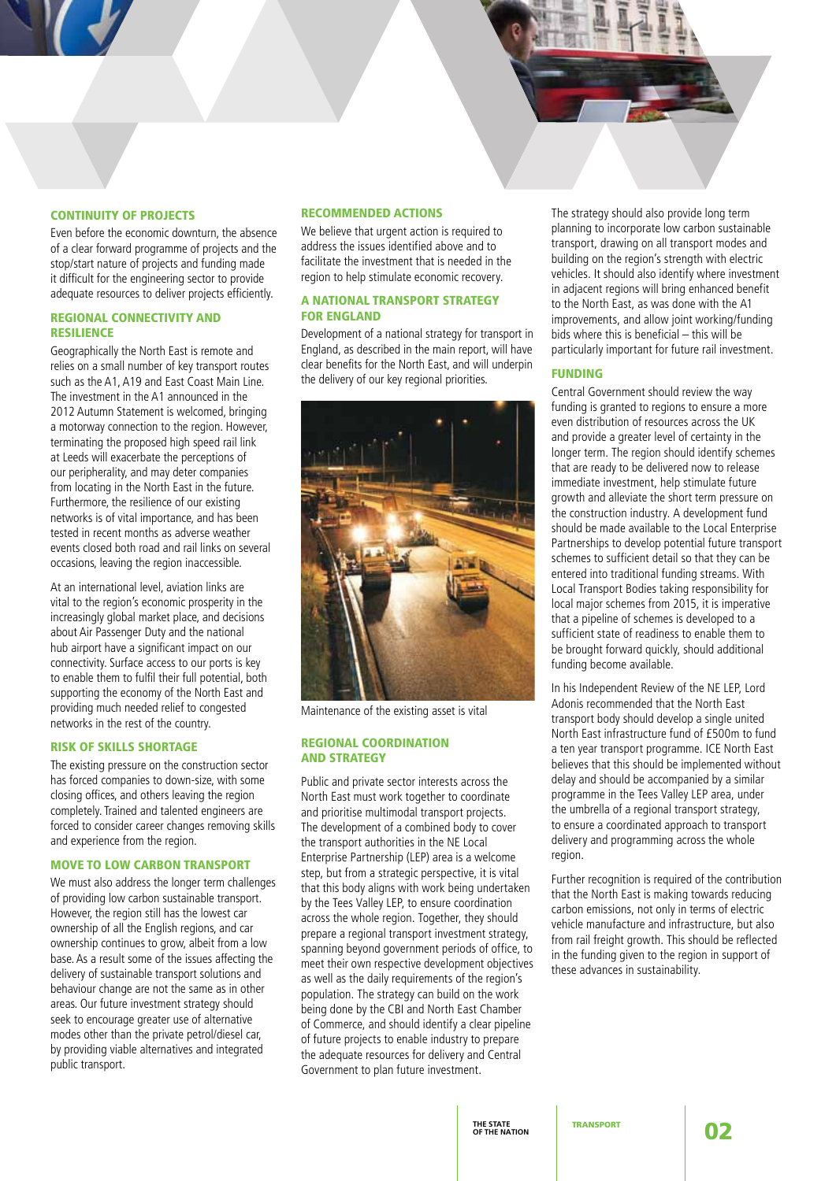# CONTINUITY OF PROJECTS

Even before the economic downturn, the absence of a clear forward programme of projects and the stop/start nature of projects and funding made it difficult for the engineering sector to provide adequate resources to deliver projects efficiently.

# Regional connectivity and resilience

Geographically the North East is remote and relies on a small number of key transport routes such as the A1, A19 and East Coast Main Line. The investment in the A1 announced in the 2012 Autumn Statement is welcomed, bringing a motorway connection to the region. However, terminating the proposed high speed rail link at Leeds will exacerbate the perceptions of our peripherality, and may deter companies from locating in the North East in the future. Furthermore, the resilience of our existing networks is of vital importance, and has been tested in recent months as adverse weather events closed both road and rail links on several occasions, leaving the region inaccessible.

At an international level, aviation links are vital to the region's economic prosperity in the increasingly global market place, and decisions about Air Passenger Duty and the national hub airport have a significant impact on our connectivity. Surface access to our ports is key to enable them to fulfil their full potential, both supporting the economy of the North East and providing much needed relief to congested networks in the rest of the country.

# Risk of skills shortage

The existing pressure on the construction sector has forced companies to down-size, with some closing offices, and others leaving the region completely. Trained and talented engineers are forced to consider career changes removing skills and experience from the region.

# Move to low carbon transport

We must also address the longer term challenges of providing low carbon sustainable transport. However, the region still has the lowest car ownership of all the English regions, and car ownership continues to grow, albeit from a low base. As a result some of the issues affecting the delivery of sustainable transport solutions and behaviour change are not the same as in other areas. Our future investment strategy should seek to encourage greater use of alternative modes other than the private petrol/diesel car, by providing viable alternatives and integrated public transport.

#### Recommended actions

We believe that urgent action is required to address the issues identified above and to facilitate the investment that is needed in the region to help stimulate economic recovery.

### A national transport strategy for England

Development of a national strategy for transport in England, as described in the main report, will have clear benefits for the North East, and will underpin the delivery of our key regional priorities.



Maintenance of the existing asset is vital

#### Regional coordination and strategy

Public and private sector interests across the North East must work together to coordinate and prioritise multimodal transport projects. The development of a combined body to cover the transport authorities in the NE Local Enterprise Partnership (LEP) area is a welcome step, but from a strategic perspective, it is vital that this body aligns with work being undertaken by the Tees Valley LEP, to ensure coordination across the whole region. Together, they should prepare a regional transport investment strategy, spanning beyond government periods of office, to meet their own respective development objectives as well as the daily requirements of the region's population. The strategy can build on the work being done by the CBI and North East Chamber of Commerce, and should identify a clear pipeline of future projects to enable industry to prepare the adequate resources for delivery and Central Government to plan future investment.

The strategy should also provide long term planning to incorporate low carbon sustainable transport, drawing on all transport modes and building on the region's strength with electric vehicles. It should also identify where investment in adjacent regions will bring enhanced benefit to the North East, as was done with the A1 improvements, and allow joint working/funding bids where this is beneficial – this will be particularly important for future rail investment.

## **FUNDING**

Central Government should review the way funding is granted to regions to ensure a more even distribution of resources across the UK and provide a greater level of certainty in the longer term. The region should identify schemes that are ready to be delivered now to release immediate investment, help stimulate future growth and alleviate the short term pressure on the construction industry. A development fund should be made available to the Local Enterprise Partnerships to develop potential future transport schemes to sufficient detail so that they can be entered into traditional funding streams. With Local Transport Bodies taking responsibility for local major schemes from 2015, it is imperative that a pipeline of schemes is developed to a sufficient state of readiness to enable them to be brought forward quickly, should additional funding become available.

In his Independent Review of the NE LEP, Lord Adonis recommended that the North East transport body should develop a single united North East infrastructure fund of £500m to fund a ten year transport programme. ICE North East believes that this should be implemented without delay and should be accompanied by a similar programme in the Tees Valley LEP area, under the umbrella of a regional transport strategy, to ensure a coordinated approach to transport delivery and programming across the whole region.

Further recognition is required of the contribution that the North East is making towards reducing carbon emissions, not only in terms of electric vehicle manufacture and infrastructure, but also from rail freight growth. This should be reflected in the funding given to the region in support of these advances in sustainability.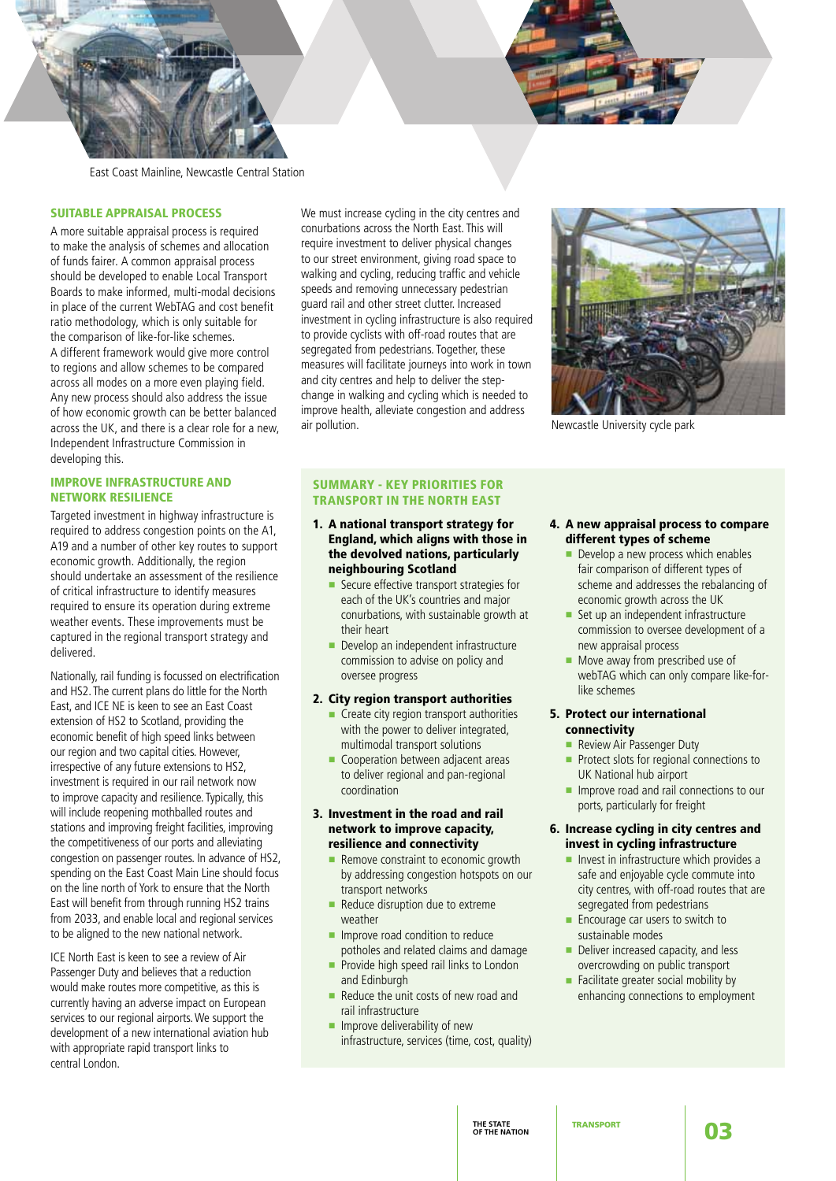

#### Suitable appraisal process

A more suitable appraisal process is required to make the analysis of schemes and allocation of funds fairer. A common appraisal process should be developed to enable Local Transport Boards to make informed, multi-modal decisions in place of the current WebTAG and cost benefit ratio methodology, which is only suitable for the comparison of like-for-like schemes. A different framework would give more control to regions and allow schemes to be compared across all modes on a more even playing field. Any new process should also address the issue of how economic growth can be better balanced across the UK, and there is a clear role for a new, Independent Infrastructure Commission in developing this.

# Improve infrastructure and network resilience

Targeted investment in highway infrastructure is required to address congestion points on the A1, A19 and a number of other key routes to support economic growth. Additionally, the region should undertake an assessment of the resilience of critical infrastructure to identify measures required to ensure its operation during extreme weather events. These improvements must be captured in the regional transport strategy and delivered.

Nationally, rail funding is focussed on electrification and HS2. The current plans do little for the North East, and ICE NE is keen to see an East Coast extension of HS2 to Scotland, providing the economic benefit of high speed links between our region and two capital cities. However, irrespective of any future extensions to HS2, investment is required in our rail network now to improve capacity and resilience. Typically, this will include reopening mothballed routes and stations and improving freight facilities, improving the competitiveness of our ports and alleviating congestion on passenger routes. In advance of HS2, spending on the East Coast Main Line should focus on the line north of York to ensure that the North East will benefit from through running HS2 trains from 2033, and enable local and regional services to be aligned to the new national network.

ICE North East is keen to see a review of Air Passenger Duty and believes that a reduction would make routes more competitive, as this is currently having an adverse impact on European services to our regional airports. We support the development of a new international aviation hub with appropriate rapid transport links to central London.

We must increase cycling in the city centres and conurbations across the North East. This will require investment to deliver physical changes to our street environment, giving road space to walking and cycling, reducing traffic and vehicle speeds and removing unnecessary pedestrian guard rail and other street clutter. Increased investment in cycling infrastructure is also required to provide cyclists with off-road routes that are segregated from pedestrians. Together, these measures will facilitate journeys into work in town and city centres and help to deliver the stepchange in walking and cycling which is needed to improve health, alleviate congestion and address air pollution.

# Summary - Key priorities for transport in the North East

- 1. A national transport strategy for England, which aligns with those in the devolved nations, particularly neighbouring Scotland
	- Secure effective transport strategies for each of the UK's countries and major conurbations, with sustainable growth at their heart
	- Develop an independent infrastructure commission to advise on policy and oversee progress

# 2. City region transport authorities

- n Create city region transport authorities with the power to deliver integrated, multimodal transport solutions
- Cooperation between adjacent areas to deliver regional and pan-regional coordination

#### 3. Investment in the road and rail network to improve capacity, resilience and connectivity

- Remove constraint to economic growth by addressing congestion hotspots on our transport networks
- Reduce disruption due to extreme weather
- $\blacksquare$  Improve road condition to reduce potholes and related claims and damage
- Provide high speed rail links to London and Edinburgh
- Reduce the unit costs of new road and rail infrastructure
- Improve deliverability of new infrastructure, services (time, cost, quality)



# Newcastle University cycle park

## 4. A new appraisal process to compare different types of scheme

- Develop a new process which enables fair comparison of different types of scheme and addresses the rebalancing of economic growth across the UK
- Set up an independent infrastructure commission to oversee development of a new appraisal process
- Move away from prescribed use of webTAG which can only compare like-forlike schemes

#### 5. Protect our international connectivity

- Review Air Passenger Duty
- Protect slots for regional connections to UK National hub airport
- **n** Improve road and rail connections to our ports, particularly for freight

### 6. Increase cycling in city centres and invest in cycling infrastructure

- $\blacksquare$  Invest in infrastructure which provides a safe and enjoyable cycle commute into city centres, with off-road routes that are segregated from pedestrians
- **Encourage car users to switch to** sustainable modes
- Deliver increased capacity, and less overcrowding on public transport
- $\blacksquare$  Facilitate greater social mobility by enhancing connections to employment